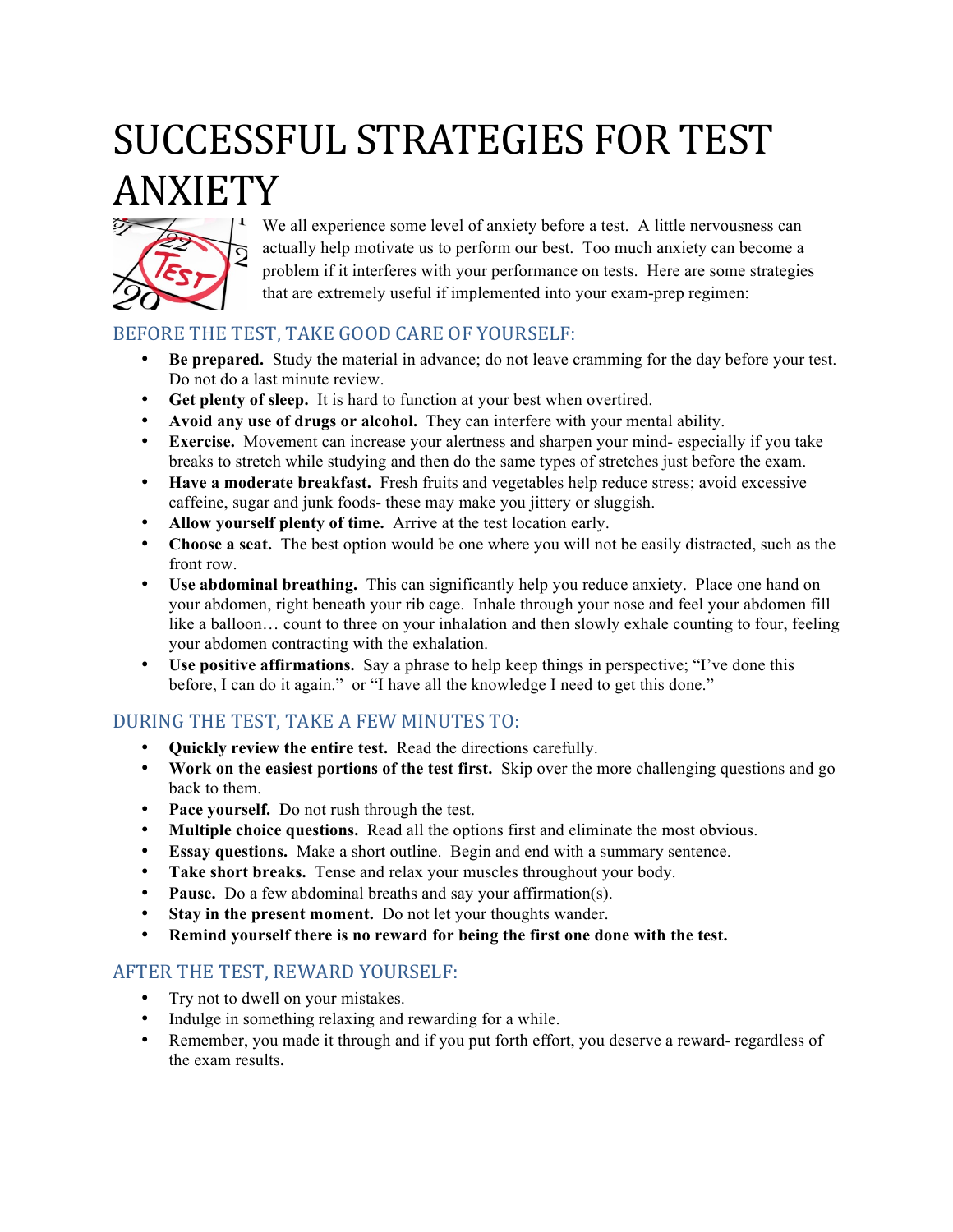# SUCCESSFUL STRATEGIES FOR TEST ANXIETY



We all experience some level of anxiety before a test. A little nervousness can actually help motivate us to perform our best. Too much anxiety can become a problem if it interferes with your performance on tests. Here are some strategies that are extremely useful if implemented into your exam-prep regimen:

### BEFORE THE TEST, TAKE GOOD CARE OF YOURSELF:

- **Be prepared.** Study the material in advance; do not leave cramming for the day before your test. Do not do a last minute review.
- **Get plenty of sleep.** It is hard to function at your best when overtired.
- **Avoid any use of drugs or alcohol.** They can interfere with your mental ability.
- **Exercise.** Movement can increase your alertness and sharpen your mind- especially if you take breaks to stretch while studying and then do the same types of stretches just before the exam.
- **Have a moderate breakfast.** Fresh fruits and vegetables help reduce stress; avoid excessive caffeine, sugar and junk foods- these may make you jittery or sluggish.
- **Allow yourself plenty of time.** Arrive at the test location early.
- **Choose a seat.** The best option would be one where you will not be easily distracted, such as the front row.
- **Use abdominal breathing.** This can significantly help you reduce anxiety. Place one hand on your abdomen, right beneath your rib cage. Inhale through your nose and feel your abdomen fill like a balloon… count to three on your inhalation and then slowly exhale counting to four, feeling your abdomen contracting with the exhalation.
- **Use positive affirmations.** Say a phrase to help keep things in perspective; "I've done this before, I can do it again." or "I have all the knowledge I need to get this done."

#### DURING THE TEST, TAKE A FEW MINUTES TO:

- **Quickly review the entire test.** Read the directions carefully.
- **Work on the easiest portions of the test first.** Skip over the more challenging questions and go back to them.
- **Pace yourself.** Do not rush through the test.
- **Multiple choice questions.** Read all the options first and eliminate the most obvious.
- **Essay questions.** Make a short outline. Begin and end with a summary sentence.
- **Take short breaks.** Tense and relax your muscles throughout your body.
- **Pause.** Do a few abdominal breaths and say your affirmation(s).
- **Stay in the present moment.** Do not let your thoughts wander.
- **Remind yourself there is no reward for being the first one done with the test.**

#### AFTER THE TEST, REWARD YOURSELF:

- Try not to dwell on your mistakes.
- Indulge in something relaxing and rewarding for a while.
- Remember, you made it through and if you put forth effort, you deserve a reward- regardless of the exam results**.**